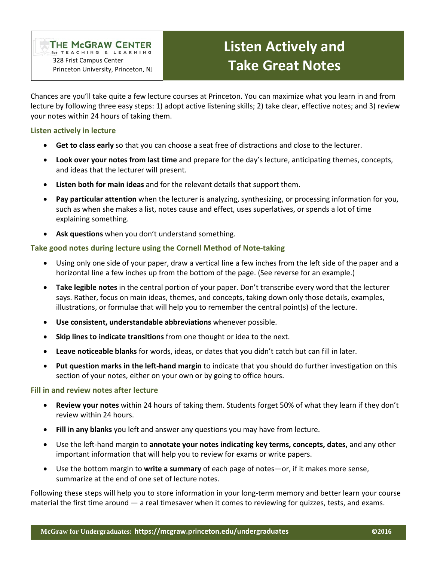## **Listen Actively and Take Great Notes**

Chances are you'll take quite a few lecture courses at Princeton. You can maximize what you learn in and from lecture by following three easy steps: 1) adopt active listening skills; 2) take clear, effective notes; and 3) review your notes within 24 hours of taking them.

## **Listen actively in lecture**

- **Get to class early** so that you can choose a seat free of distractions and close to the lecturer.
- **Look over your notes from last time** and prepare for the day's lecture, anticipating themes, concepts, and ideas that the lecturer will present.
- **Listen both for main ideas** and for the relevant details that support them.
- **Pay particular attention** when the lecturer is analyzing, synthesizing, or processing information for you, such as when she makes a list, notes cause and effect, uses superlatives, or spends a lot of time explaining something.
- **Ask questions** when you don't understand something.

## **Take good notes during lecture using the Cornell Method of Note-taking**

- Using only one side of your paper, draw a vertical line a few inches from the left side of the paper and a horizontal line a few inches up from the bottom of the page. (See reverse for an example.)
- **Take legible notes** in the central portion of your paper. Don't transcribe every word that the lecturer says. Rather, focus on main ideas, themes, and concepts, taking down only those details, examples, illustrations, or formulae that will help you to remember the central point(s) of the lecture.
- **Use consistent, understandable abbreviations** whenever possible.
- **Skip lines to indicate transitions** from one thought or idea to the next.
- **Leave noticeable blanks** for words, ideas, or dates that you didn't catch but can fill in later.
- **Put question marks in the left-hand margin** to indicate that you should do further investigation on this section of your notes, either on your own or by going to office hours.

## **Fill in and review notes after lecture**

- **Review your notes** within 24 hours of taking them. Students forget 50% of what they learn if they don't review within 24 hours.
- **Fill in any blanks** you left and answer any questions you may have from lecture.
- Use the left-hand margin to **annotate your notes indicating key terms, concepts, dates,** and any other important information that will help you to review for exams or write papers.
- Use the bottom margin to **write a summary** of each page of notes—or, if it makes more sense, summarize at the end of one set of lecture notes.

Following these steps will help you to store information in your long-term memory and better learn your course material the first time around — a real timesaver when it comes to reviewing for quizzes, tests, and exams.